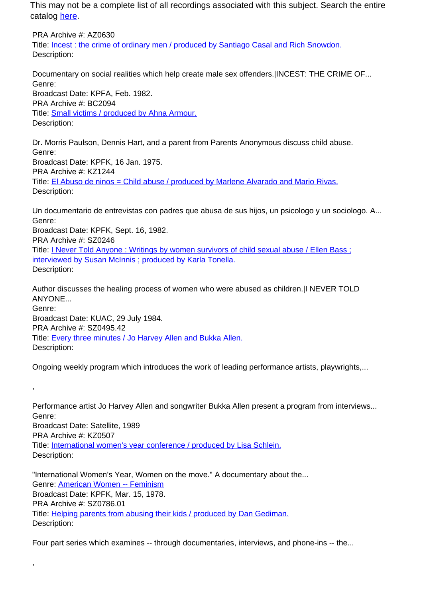This may not be a complete list of all recordings associated with this subject. Search the entire catalog [here.](http://pacificaradioarchives.org/keyword-search)

PRA Archive #: AZ0630 Title: Incest : the crime of ordinary men / produced by Santiago Casal and Rich Snowdon. Description:

Documentary on social realities which help create male sex offenders.|INCEST: THE CRIME OF... Genre: Broadcast Date: KPFA, Feb. 1982. PRA Archive #: BC2094 Title: Small victims / produced by Ahna Armour. Description:

Dr. Morris Paulson, Dennis Hart, and a parent from Parents Anonymous discuss child abuse. Genre: Broadcast Date: KPFK, 16 Jan. 1975. PRA Archive #: KZ1244 Title: El Abuso de ninos = Child abuse / produced by Marlene Alvarado and Mario Rivas. Description:

Un documentario de entrevistas con padres que abusa de sus hijos, un psicologo y un sociologo. A... Genre: Broadcast Date: KPFK, Sept. 16, 1982. PRA Archive #: SZ0246 Title: I Never Told Anyone : Writings by women survivors of child sexual abuse / Ellen Bass ; interviewed by Susan McInnis ; produced by Karla Tonella. Description:

Author discusses the healing process of women who were abused as children.|I NEVER TOLD ANYONE... Genre: Broadcast Date: KUAC, 29 July 1984. PRA Archive #: SZ0495.42 Title: Every three minutes / Jo Harvey Allen and Bukka Allen. Description:

Ongoing weekly program which introduces the work of leading performance artists, playwrights,...

Performance artist Jo Harvey Allen and songwriter Bukka Allen present a program from interviews... Genre: Broadcast Date: Satellite, 1989 PRA Archive #: KZ0507 Title: International women's year conference / produced by Lisa Schlein. Description:

"International Women's Year, Women on the move." A documentary about the... Genre: American Women -- Feminism Broadcast Date: KPFK, Mar. 15, 1978. PRA Archive #: SZ0786.01 Title: Helping parents from abusing their kids / produced by Dan Gediman. Description:

,

,

Four part series which examines -- through documentaries, interviews, and phone-ins -- the...